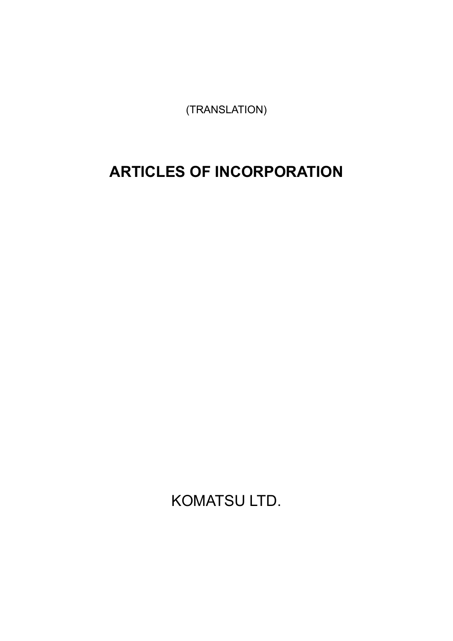(TRANSLATION)

# **ARTICLES OF INCORPORATION**

KOMATSU LTD.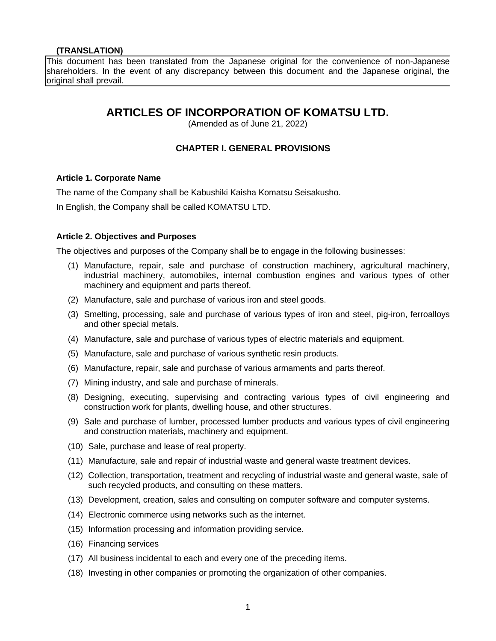#### **(TRANSLATION)**

This document has been translated from the Japanese original for the convenience of non-Japanese shareholders. In the event of any discrepancy between this document and the Japanese original, the original shall prevail.

# **ARTICLES OF INCORPORATION OF KOMATSU LTD.**

(Amended as of June 21, 2022)

# **CHAPTER I. GENERAL PROVISIONS**

#### **Article 1. Corporate Name**

The name of the Company shall be Kabushiki Kaisha Komatsu Seisakusho.

In English, the Company shall be called KOMATSU LTD.

#### **Article 2. Objectives and Purposes**

The objectives and purposes of the Company shall be to engage in the following businesses:

- (1) Manufacture, repair, sale and purchase of construction machinery, agricultural machinery, industrial machinery, automobiles, internal combustion engines and various types of other machinery and equipment and parts thereof.
- (2) Manufacture, sale and purchase of various iron and steel goods.
- (3) Smelting, processing, sale and purchase of various types of iron and steel, pig-iron, ferroalloys and other special metals.
- (4) Manufacture, sale and purchase of various types of electric materials and equipment.
- (5) Manufacture, sale and purchase of various synthetic resin products.
- (6) Manufacture, repair, sale and purchase of various armaments and parts thereof.
- (7) Mining industry, and sale and purchase of minerals.
- (8) Designing, executing, supervising and contracting various types of civil engineering and construction work for plants, dwelling house, and other structures.
- (9) Sale and purchase of lumber, processed lumber products and various types of civil engineering and construction materials, machinery and equipment.
- (10) Sale, purchase and lease of real property.
- (11) Manufacture, sale and repair of industrial waste and general waste treatment devices.
- (12) Collection, transportation, treatment and recycling of industrial waste and general waste, sale of such recycled products, and consulting on these matters.
- (13) Development, creation, sales and consulting on computer software and computer systems.
- (14) Electronic commerce using networks such as the internet.
- (15) Information processing and information providing service.
- (16) Financing services
- (17) All business incidental to each and every one of the preceding items.
- (18) Investing in other companies or promoting the organization of other companies.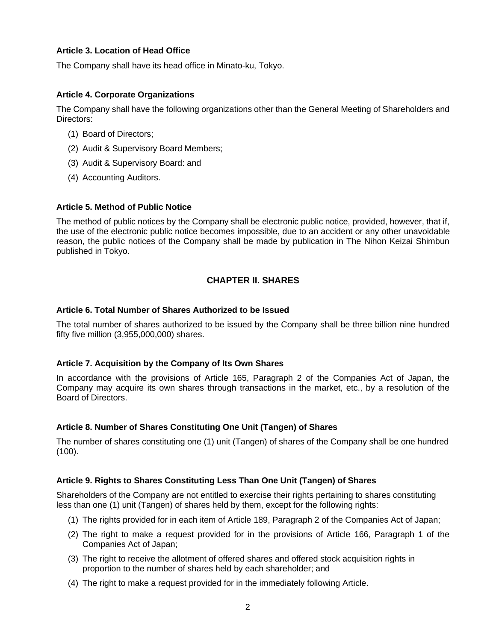# **Article 3. Location of Head Office**

The Company shall have its head office in Minato-ku, Tokyo.

# **Article 4. Corporate Organizations**

The Company shall have the following organizations other than the General Meeting of Shareholders and Directors:

- (1) Board of Directors;
- (2) Audit & Supervisory Board Members;
- (3) Audit & Supervisory Board: and
- (4) Accounting Auditors.

# **Article 5. Method of Public Notice**

The method of public notices by the Company shall be electronic public notice, provided, however, that if, the use of the electronic public notice becomes impossible, due to an accident or any other unavoidable reason, the public notices of the Company shall be made by publication in The Nihon Keizai Shimbun published in Tokyo.

# **CHAPTER II. SHARES**

# **Article 6. Total Number of Shares Authorized to be Issued**

The total number of shares authorized to be issued by the Company shall be three billion nine hundred fifty five million (3,955,000,000) shares.

# **Article 7. Acquisition by the Company of Its Own Shares**

In accordance with the provisions of Article 165, Paragraph 2 of the Companies Act of Japan, the Company may acquire its own shares through transactions in the market, etc., by a resolution of the Board of Directors.

# **Article 8. Number of Shares Constituting One Unit (Tangen) of Shares**

The number of shares constituting one (1) unit (Tangen) of shares of the Company shall be one hundred (100).

# **Article 9. Rights to Shares Constituting Less Than One Unit (Tangen) of Shares**

Shareholders of the Company are not entitled to exercise their rights pertaining to shares constituting less than one (1) unit (Tangen) of shares held by them, except for the following rights:

- (1) The rights provided for in each item of Article 189, Paragraph 2 of the Companies Act of Japan;
- (2) The right to make a request provided for in the provisions of Article 166, Paragraph 1 of the Companies Act of Japan;
- (3) The right to receive the allotment of offered shares and offered stock acquisition rights in proportion to the number of shares held by each shareholder; and
- (4) The right to make a request provided for in the immediately following Article.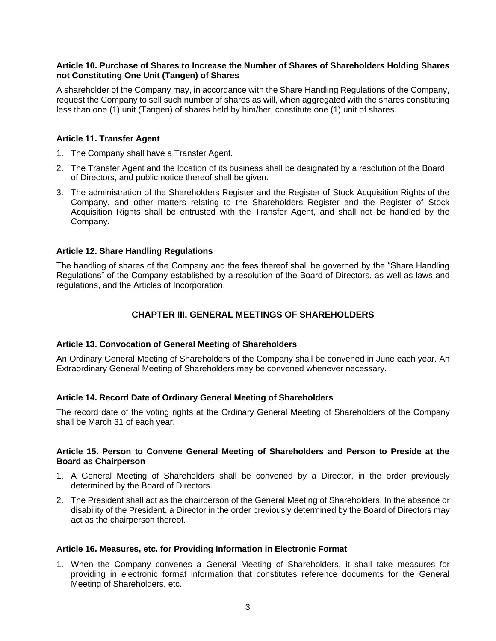#### **Article 10. Purchase of Shares to Increase the Number of Shares of Shareholders Holding Shares not Constituting One Unit (Tangen) of Shares**

A shareholder of the Company may, in accordance with the Share Handling Regulations of the Company, request the Company to sell such number of shares as will, when aggregated with the shares constituting less than one (1) unit (Tangen) of shares held by him/her, constitute one (1) unit of shares.

#### **Article 11. Transfer Agent**

- 1. The Company shall have a Transfer Agent.
- 2. The Transfer Agent and the location of its business shall be designated by a resolution of the Board of Directors, and public notice thereof shall be given.
- 3. The administration of the Shareholders Register and the Register of Stock Acquisition Rights of the Company, and other matters relating to the Shareholders Register and the Register of Stock Acquisition Rights shall be entrusted with the Transfer Agent, and shall not be handled by the Company.

#### **Article 12. Share Handling Regulations**

The handling of shares of the Company and the fees thereof shall be governed by the "Share Handling Regulations" of the Company established by a resolution of the Board of Directors, as well as laws and regulations, and the Articles of Incorporation.

# **CHAPTER III. GENERAL MEETINGS OF SHAREHOLDERS**

# **Article 13. Convocation of General Meeting of Shareholders**

An Ordinary General Meeting of Shareholders of the Company shall be convened in June each year. An Extraordinary General Meeting of Shareholders may be convened whenever necessary.

#### **Article 14. Record Date of Ordinary General Meeting of Shareholders**

The record date of the voting rights at the Ordinary General Meeting of Shareholders of the Company shall be March 31 of each year.

#### **Article 15. Person to Convene General Meeting of Shareholders and Person to Preside at the Board as Chairperson**

- 1. A General Meeting of Shareholders shall be convened by a Director, in the order previously determined by the Board of Directors.
- 2. The President shall act as the chairperson of the General Meeting of Shareholders. In the absence or disability of the President, a Director in the order previously determined by the Board of Directors may act as the chairperson thereof.

#### **Article 16. Measures, etc. for Providing Information in Electronic Format**

1.When the Company convenes a General Meeting of Shareholders, it shall take measures for providing in electronic format information that constitutes reference documents for the General Meeting of Shareholders, etc.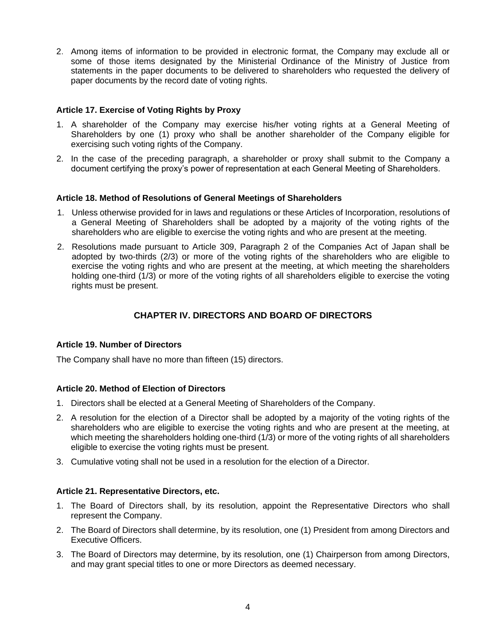2.Among items of information to be provided in electronic format, the Company may exclude all or some of those items designated by the Ministerial Ordinance of the Ministry of Justice from statements in the paper documents to be delivered to shareholders who requested the delivery of paper documents by the record date of voting rights.

# **Article 17. Exercise of Voting Rights by Proxy**

- 1. A shareholder of the Company may exercise his/her voting rights at a General Meeting of Shareholders by one (1) proxy who shall be another shareholder of the Company eligible for exercising such voting rights of the Company.
- 2. In the case of the preceding paragraph, a shareholder or proxy shall submit to the Company a document certifying the proxy's power of representation at each General Meeting of Shareholders.

# **Article 18. Method of Resolutions of General Meetings of Shareholders**

- 1. Unless otherwise provided for in laws and regulations or these Articles of Incorporation, resolutions of a General Meeting of Shareholders shall be adopted by a majority of the voting rights of the shareholders who are eligible to exercise the voting rights and who are present at the meeting.
- 2. Resolutions made pursuant to Article 309, Paragraph 2 of the Companies Act of Japan shall be adopted by two-thirds (2/3) or more of the voting rights of the shareholders who are eligible to exercise the voting rights and who are present at the meeting, at which meeting the shareholders holding one-third (1/3) or more of the voting rights of all shareholders eligible to exercise the voting rights must be present.

# **CHAPTER IV. DIRECTORS AND BOARD OF DIRECTORS**

# **Article 19. Number of Directors**

The Company shall have no more than fifteen (15) directors.

# **Article 20. Method of Election of Directors**

- 1. Directors shall be elected at a General Meeting of Shareholders of the Company.
- 2. A resolution for the election of a Director shall be adopted by a majority of the voting rights of the shareholders who are eligible to exercise the voting rights and who are present at the meeting, at which meeting the shareholders holding one-third (1/3) or more of the voting rights of all shareholders eligible to exercise the voting rights must be present.
- 3. Cumulative voting shall not be used in a resolution for the election of a Director.

# **Article 21. Representative Directors, etc.**

- 1. The Board of Directors shall, by its resolution, appoint the Representative Directors who shall represent the Company.
- 2. The Board of Directors shall determine, by its resolution, one (1) President from among Directors and Executive Officers.
- 3. The Board of Directors may determine, by its resolution, one (1) Chairperson from among Directors, and may grant special titles to one or more Directors as deemed necessary.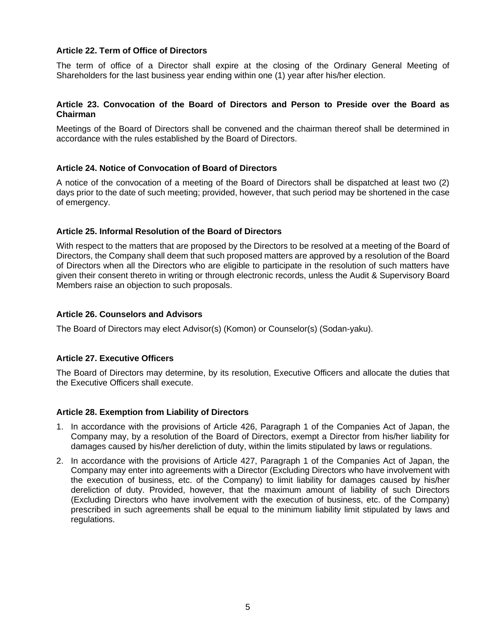# **Article 22. Term of Office of Directors**

The term of office of a Director shall expire at the closing of the Ordinary General Meeting of Shareholders for the last business year ending within one (1) year after his/her election.

# **Article 23. Convocation of the Board of Directors and Person to Preside over the Board as Chairman**

Meetings of the Board of Directors shall be convened and the chairman thereof shall be determined in accordance with the rules established by the Board of Directors.

#### **Article 24. Notice of Convocation of Board of Directors**

A notice of the convocation of a meeting of the Board of Directors shall be dispatched at least two (2) days prior to the date of such meeting; provided, however, that such period may be shortened in the case of emergency.

#### **Article 25. Informal Resolution of the Board of Directors**

With respect to the matters that are proposed by the Directors to be resolved at a meeting of the Board of Directors, the Company shall deem that such proposed matters are approved by a resolution of the Board of Directors when all the Directors who are eligible to participate in the resolution of such matters have given their consent thereto in writing or through electronic records, unless the Audit & Supervisory Board Members raise an objection to such proposals.

#### **Article 26. Counselors and Advisors**

The Board of Directors may elect Advisor(s) (Komon) or Counselor(s) (Sodan-yaku).

# **Article 27. Executive Officers**

The Board of Directors may determine, by its resolution, Executive Officers and allocate the duties that the Executive Officers shall execute.

#### **Article 28. Exemption from Liability of Directors**

- 1. In accordance with the provisions of Article 426, Paragraph 1 of the Companies Act of Japan, the Company may, by a resolution of the Board of Directors, exempt a Director from his/her liability for damages caused by his/her dereliction of duty, within the limits stipulated by laws or regulations.
- 2. In accordance with the provisions of Article 427, Paragraph 1 of the Companies Act of Japan, the Company may enter into agreements with a Director (Excluding Directors who have involvement with the execution of business, etc. of the Company) to limit liability for damages caused by his/her dereliction of duty. Provided, however, that the maximum amount of liability of such Directors (Excluding Directors who have involvement with the execution of business, etc. of the Company) prescribed in such agreements shall be equal to the minimum liability limit stipulated by laws and regulations.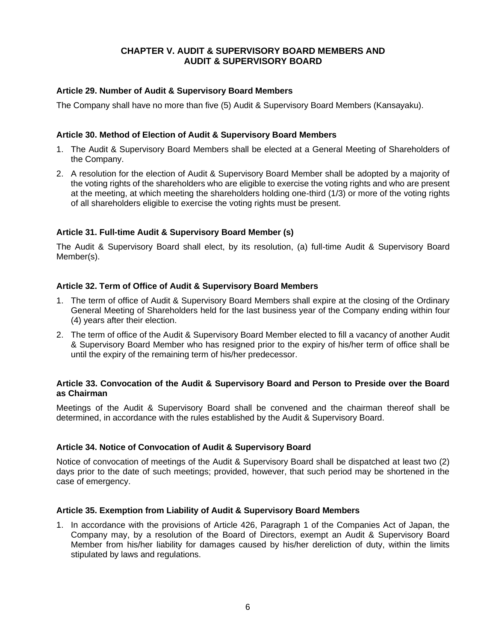# **CHAPTER V. AUDIT & SUPERVISORY BOARD MEMBERS AND AUDIT & SUPERVISORY BOARD**

# **Article 29. Number of Audit & Supervisory Board Members**

The Company shall have no more than five (5) Audit & Supervisory Board Members (Kansayaku).

# **Article 30. Method of Election of Audit & Supervisory Board Members**

- 1. The Audit & Supervisory Board Members shall be elected at a General Meeting of Shareholders of the Company.
- 2. A resolution for the election of Audit & Supervisory Board Member shall be adopted by a majority of the voting rights of the shareholders who are eligible to exercise the voting rights and who are present at the meeting, at which meeting the shareholders holding one-third (1/3) or more of the voting rights of all shareholders eligible to exercise the voting rights must be present.

# **Article 31. Full-time Audit & Supervisory Board Member (s)**

The Audit & Supervisory Board shall elect, by its resolution, (a) full-time Audit & Supervisory Board Member(s).

#### **Article 32. Term of Office of Audit & Supervisory Board Members**

- 1. The term of office of Audit & Supervisory Board Members shall expire at the closing of the Ordinary General Meeting of Shareholders held for the last business year of the Company ending within four (4) years after their election.
- 2. The term of office of the Audit & Supervisory Board Member elected to fill a vacancy of another Audit & Supervisory Board Member who has resigned prior to the expiry of his/her term of office shall be until the expiry of the remaining term of his/her predecessor.

#### **Article 33. Convocation of the Audit & Supervisory Board and Person to Preside over the Board as Chairman**

Meetings of the Audit & Supervisory Board shall be convened and the chairman thereof shall be determined, in accordance with the rules established by the Audit & Supervisory Board.

#### **Article 34. Notice of Convocation of Audit & Supervisory Board**

Notice of convocation of meetings of the Audit & Supervisory Board shall be dispatched at least two (2) days prior to the date of such meetings; provided, however, that such period may be shortened in the case of emergency.

#### **Article 35. Exemption from Liability of Audit & Supervisory Board Members**

1. In accordance with the provisions of Article 426, Paragraph 1 of the Companies Act of Japan, the Company may, by a resolution of the Board of Directors, exempt an Audit & Supervisory Board Member from his/her liability for damages caused by his/her dereliction of duty, within the limits stipulated by laws and regulations.